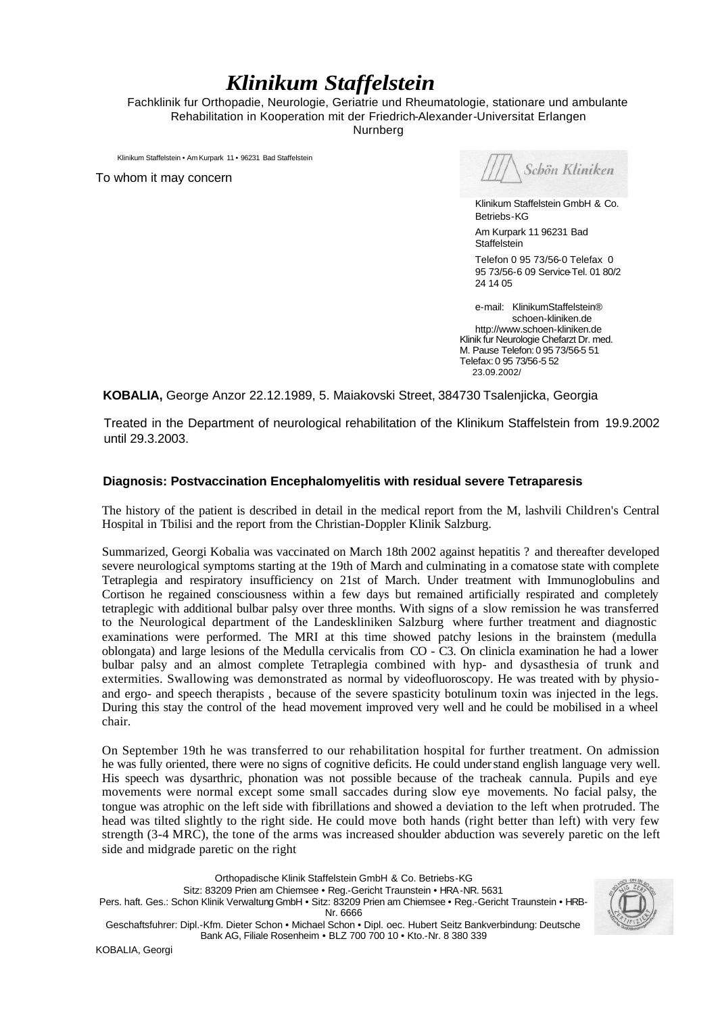# *Klinikum Staffelstein*

Fachklinik fur Orthopadie, Neurologie, Geriatrie und Rheumatologie, stationare und ambulante Rehabilitation in Kooperation mit der Friedrich-Alexander-Universitat Erlangen Nurnberg

Klinikum Staffelstein • Am Kurpark 11 • 96231 Bad Staffelstein

To whom it may concern

Schön Kliniken

Klinikum Staffelstein GmbH & Co. Betriebs-KG

Am Kurpark 11 96231 Bad **Staffelstein** 

Telefon 0 95 73/56-0 Telefax 0 95 73/56-6 09 Service-Tel. 01 80/2 24 14 05

e-mail: KlinikumStaffelstein® schoen-kliniken.de http://www.schoen-kliniken.de Klinik fur Neurologie Chefarzt Dr. med. M. Pause Telefon: 0 95 73/56-5 51 Telefax: 0 95 73/56-5 52 23.09.2002/

**KOBALIA,** George Anzor 22.12.1989, 5. Maiakovski Street, 384730 Tsalenjicka, Georgia

Treated in the Department of neurological rehabilitation of the Klinikum Staffelstein from 19.9.2002 until 29.3.2003.

## **Diagnosis: Postvaccination Encephalomyelitis with residual severe Tetraparesis**

The history of the patient is described in detail in the medical report from the M, lashvili Children's Central Hospital in Tbilisi and the report from the Christian-Doppler Klinik Salzburg.

Summarized, Georgi Kobalia was vaccinated on March 18th 2002 against hepatitis ? and thereafter developed severe neurological symptoms starting at the 19th of March and culminating in a comatose state with complete Tetraplegia and respiratory insufficiency on 21st of March. Under treatment with Immunoglobulins and Cortison he regained consciousness within a few days but remained artificially respirated and completely tetraplegic with additional bulbar palsy over three months. With signs of a slow remission he was transferred to the Neurological department of the Landeskliniken Salzburg where further treatment and diagnostic examinations were performed. The MRI at this time showed patchy lesions in the brainstem (medulla oblongata) and large lesions of the Medulla cervicalis from CO - C3. On clinicla examination he had a lower bulbar palsy and an almost complete Tetraplegia combined with hyp- and dysasthesia of trunk and extermities. Swallowing was demonstrated as normal by videofluoroscopy. He was treated with by physioand ergo- and speech therapists , because of the severe spasticity botulinum toxin was injected in the legs. During this stay the control of the head movement improved very well and he could be mobilised in a wheel chair.

On September 19th he was transferred to our rehabilitation hospital for further treatment. On admission he was fully oriented, there were no signs of cognitive deficits. He could understand english language very well. His speech was dysarthric, phonation was not possible because of the tracheak cannula. Pupils and eye movements were normal except some small saccades during slow eye movements. No facial palsy, the tongue was atrophic on the left side with fibrillations and showed a deviation to the left when protruded. The head was tilted slightly to the right side. He could move both hands (right better than left) with very few strength (3-4 MRC), the tone of the arms was increased shoulder abduction was severely paretic on the left side and midgrade paretic on the right

Orthopadische Klinik Staffelstein GmbH & Co. Betriebs-KG Sitz: 83209 Prien am Chiemsee • Reg.-Gericht Traunstein • HRA-NR. 5631 Pers. haft. Ges.: Schon Klinik Verwaltung GmbH • Sitz: 83209 Prien am Chiemsee • Reg.-Gericht Traunstein • HRB-Nr. 6666 Geschaftsfuhrer: Dipl.-Kfm. Dieter Schon • Michael Schon • Dipl. oec. Hubert Seitz Bankverbindung: Deutsche Bank AG, Filiale Rosenheim • BLZ 700 700 10 • Kto.-Nr. 8 380 339

KOBALIA, Georgi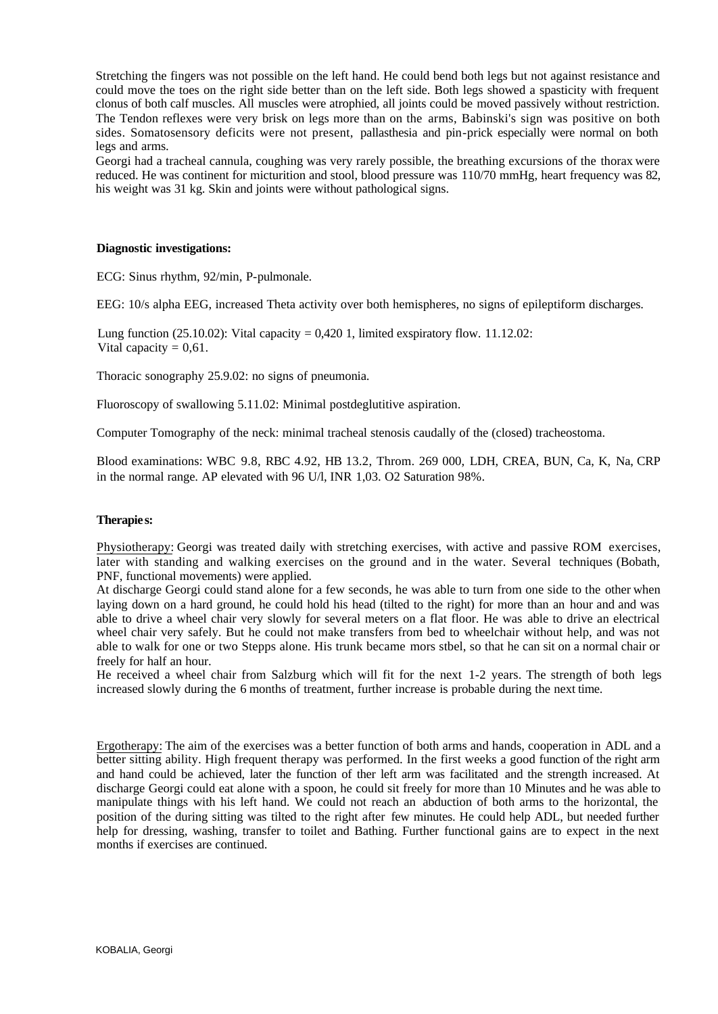Stretching the fingers was not possible on the left hand. He could bend both legs but not against resistance and could move the toes on the right side better than on the left side. Both legs showed a spasticity with frequent clonus of both calf muscles. All muscles were atrophied, all joints could be moved passively without restriction. The Tendon reflexes were very brisk on legs more than on the arms, Babinski's sign was positive on both sides. Somatosensory deficits were not present, pallasthesia and pin-prick especially were normal on both legs and arms.

Georgi had a tracheal cannula, coughing was very rarely possible, the breathing excursions of the thorax were reduced. He was continent for micturition and stool, blood pressure was 110/70 mmHg, heart frequency was 82, his weight was 31 kg. Skin and joints were without pathological signs.

#### **Diagnostic investigations:**

ECG: Sinus rhythm, 92/min, P-pulmonale.

EEG: 10/s alpha EEG, increased Theta activity over both hemispheres, no signs of epileptiform discharges.

Lung function  $(25.10.02)$ : Vital capacity = 0,420 1, limited exspiratory flow. 11.12.02: Vital capacity  $= 0.61$ .

Thoracic sonography 25.9.02: no signs of pneumonia.

Fluoroscopy of swallowing 5.11.02: Minimal postdeglutitive aspiration.

Computer Tomography of the neck: minimal tracheal stenosis caudally of the (closed) tracheostoma.

Blood examinations: WBC 9.8, RBC 4.92, HB 13.2, Throm. 269 000, LDH, CREA, BUN, Ca, K, Na, CRP in the normal range. AP elevated with 96 U/l, INR 1,03. O2 Saturation 98%.

#### **Therapie s:**

Physiotherapy: Georgi was treated daily with stretching exercises, with active and passive ROM exercises, later with standing and walking exercises on the ground and in the water. Several techniques (Bobath, PNF, functional movements) were applied.

At discharge Georgi could stand alone for a few seconds, he was able to turn from one side to the other when laying down on a hard ground, he could hold his head (tilted to the right) for more than an hour and and was able to drive a wheel chair very slowly for several meters on a flat floor. He was able to drive an electrical wheel chair very safely. But he could not make transfers from bed to wheelchair without help, and was not able to walk for one or two Stepps alone. His trunk became mors stbel, so that he can sit on a normal chair or freely for half an hour.

He received a wheel chair from Salzburg which will fit for the next 1-2 years. The strength of both legs increased slowly during the 6 months of treatment, further increase is probable during the next time.

Ergotherapy: The aim of the exercises was a better function of both arms and hands, cooperation in ADL and a better sitting ability. High frequent therapy was performed. In the first weeks a good function of the right arm and hand could be achieved, later the function of ther left arm was facilitated and the strength increased. At discharge Georgi could eat alone with a spoon, he could sit freely for more than 10 Minutes and he was able to manipulate things with his left hand. We could not reach an abduction of both arms to the horizontal, the position of the during sitting was tilted to the right after few minutes. He could help ADL, but needed further help for dressing, washing, transfer to toilet and Bathing. Further functional gains are to expect in the next months if exercises are continued.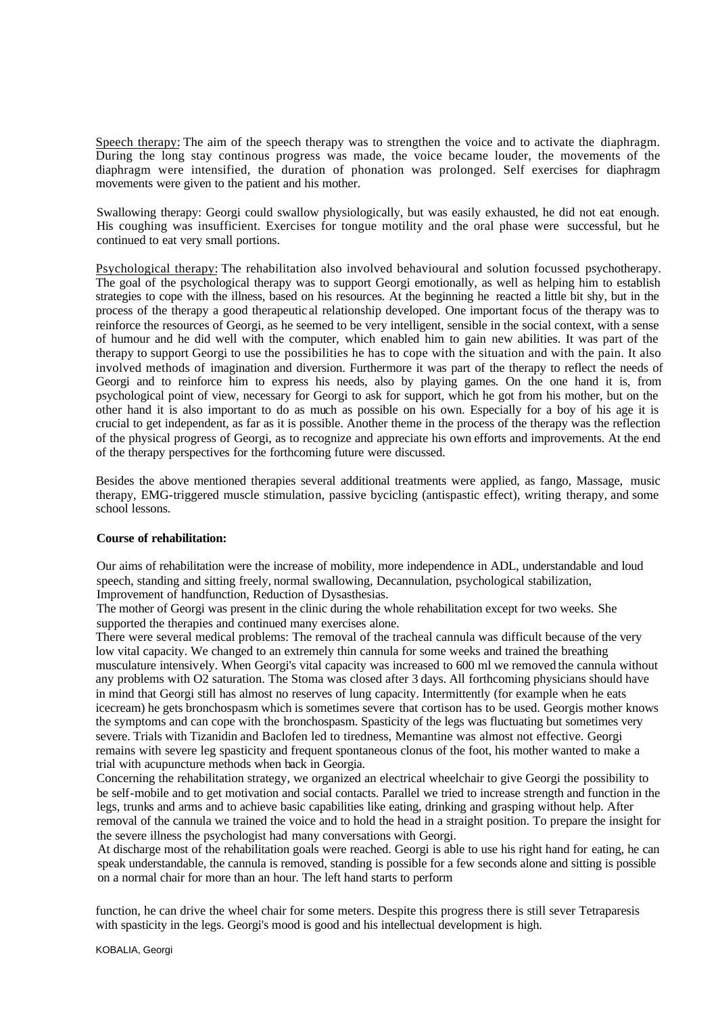Speech therapy: The aim of the speech therapy was to strengthen the voice and to activate the diaphragm. During the long stay continous progress was made, the voice became louder, the movements of the diaphragm were intensified, the duration of phonation was prolonged. Self exercises for diaphragm movements were given to the patient and his mother.

Swallowing therapy: Georgi could swallow physiologically, but was easily exhausted, he did not eat enough. His coughing was insufficient. Exercises for tongue motility and the oral phase were successful, but he continued to eat very small portions.

Psychological therapy: The rehabilitation also involved behavioural and solution focussed psychotherapy. The goal of the psychological therapy was to support Georgi emotionally, as well as helping him to establish strategies to cope with the illness, based on his resources. At the beginning he reacted a little bit shy, but in the process of the therapy a good therapeutic al relationship developed. One important focus of the therapy was to reinforce the resources of Georgi, as he seemed to be very intelligent, sensible in the social context, with a sense of humour and he did well with the computer, which enabled him to gain new abilities. It was part of the therapy to support Georgi to use the possibilities he has to cope with the situation and with the pain. It also involved methods of imagination and diversion. Furthermore it was part of the therapy to reflect the needs of Georgi and to reinforce him to express his needs, also by playing games. On the one hand it is, from psychological point of view, necessary for Georgi to ask for support, which he got from his mother, but on the other hand it is also important to do as much as possible on his own. Especially for a boy of his age it is crucial to get independent, as far as it is possible. Another theme in the process of the therapy was the reflection of the physical progress of Georgi, as to recognize and appreciate his own efforts and improvements. At the end of the therapy perspectives for the forthcoming future were discussed.

Besides the above mentioned therapies several additional treatments were applied, as fango, Massage, music therapy, EMG-triggered muscle stimulation, passive bycicling (antispastic effect), writing therapy, and some school lessons.

### **Course of rehabilitation:**

Our aims of rehabilitation were the increase of mobility, more independence in ADL, understandable and loud speech, standing and sitting freely, normal swallowing, Decannulation, psychological stabilization, Improvement of handfunction, Reduction of Dysasthesias.

The mother of Georgi was present in the clinic during the whole rehabilitation except for two weeks. She supported the therapies and continued many exercises alone.

There were several medical problems: The removal of the tracheal cannula was difficult because of the very low vital capacity. We changed to an extremely thin cannula for some weeks and trained the breathing musculature intensively. When Georgi's vital capacity was increased to 600 ml we removed the cannula without any problems with O2 saturation. The Stoma was closed after 3 days. All forthcoming physicians should have in mind that Georgi still has almost no reserves of lung capacity. Intermittently (for example when he eats icecream) he gets bronchospasm which is sometimes severe that cortison has to be used. Georgis mother knows the symptoms and can cope with the bronchospasm. Spasticity of the legs was fluctuating but sometimes very severe. Trials with Tizanidin and Baclofen led to tiredness, Memantine was almost not effective. Georgi remains with severe leg spasticity and frequent spontaneous clonus of the foot, his mother wanted to make a trial with acupuncture methods when back in Georgia.

Concerning the rehabilitation strategy, we organized an electrical wheelchair to give Georgi the possibility to be self-mobile and to get motivation and social contacts. Parallel we tried to increase strength and function in the legs, trunks and arms and to achieve basic capabilities like eating, drinking and grasping without help. After removal of the cannula we trained the voice and to hold the head in a straight position. To prepare the insight for the severe illness the psychologist had many conversations with Georgi.

At discharge most of the rehabilitation goals were reached. Georgi is able to use his right hand for eating, he can speak understandable, the cannula is removed, standing is possible for a few seconds alone and sitting is possible on a normal chair for more than an hour. The left hand starts to perform

function, he can drive the wheel chair for some meters. Despite this progress there is still sever Tetraparesis with spasticity in the legs. Georgi's mood is good and his intellectual development is high.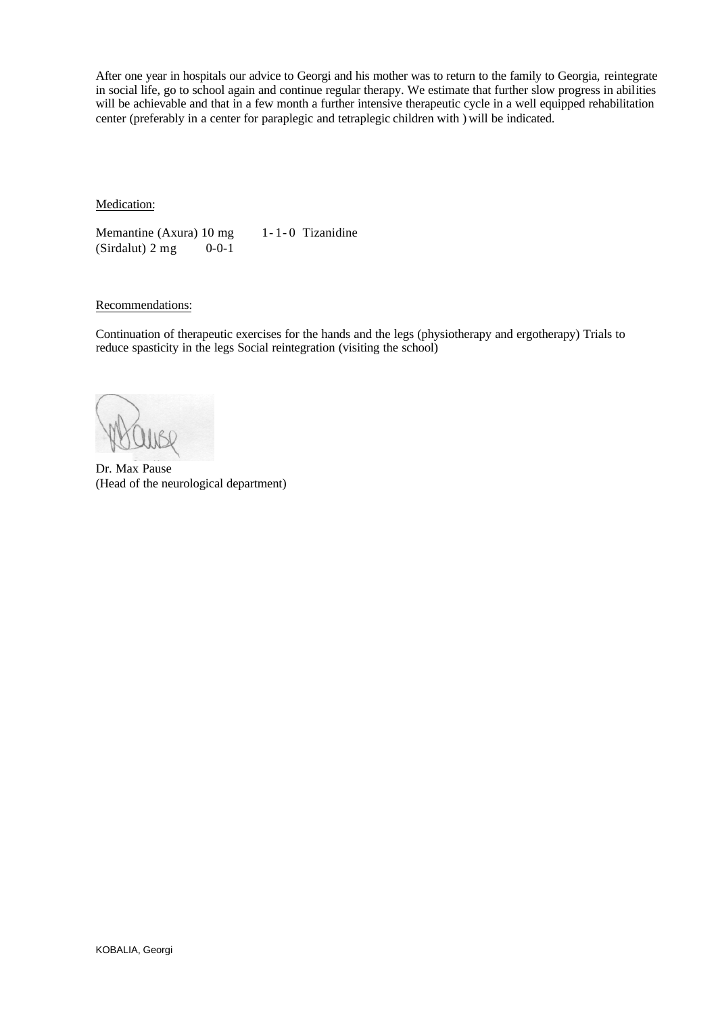After one year in hospitals our advice to Georgi and his mother was to return to the family to Georgia, reintegrate in social life, go to school again and continue regular therapy. We estimate that further slow progress in abilities will be achievable and that in a few month a further intensive therapeutic cycle in a well equipped rehabilitation center (preferably in a center for paraplegic and tetraplegic children with ) will be indicated.

Medication:

Memantine (Axura) 10 mg 1 - 1 - 0 Tizanidine  $(Sirdalut) 2 mg$  0-0-1

## Recommendations:

Continuation of therapeutic exercises for the hands and the legs (physiotherapy and ergotherapy) Trials to reduce spasticity in the legs Social reintegration (visiting the school)

Dr. Max Pause (Head of the neurological department)